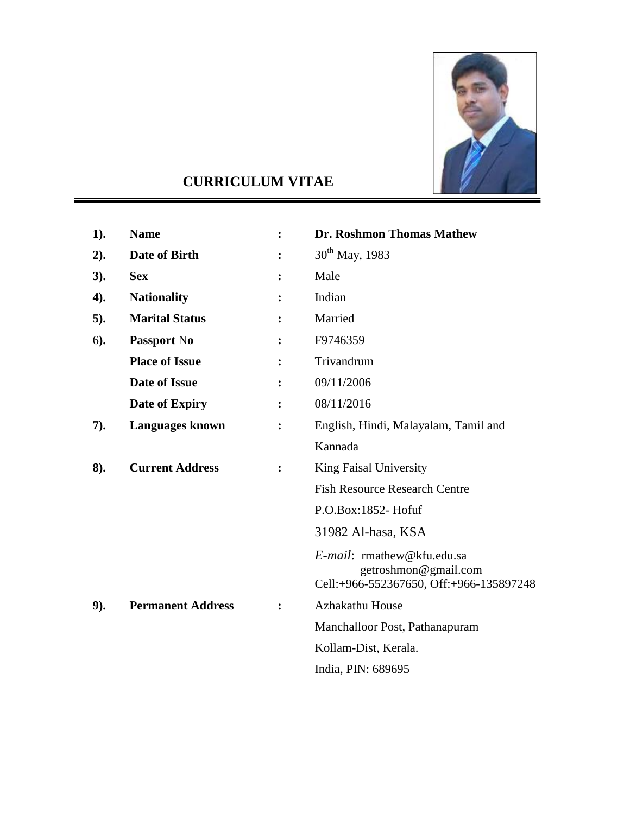

# **CURRICULUM VITAE**

| 1).    | <b>Name</b>              | $\ddot{\cdot}$ | Dr. Roshmon Thomas Mathew                                                                     |
|--------|--------------------------|----------------|-----------------------------------------------------------------------------------------------|
| 2).    | Date of Birth            |                | $30^{th}$ May, 1983                                                                           |
| 3).    | <b>Sex</b>               |                | Male                                                                                          |
| 4).    | <b>Nationality</b>       |                | Indian                                                                                        |
| $5$ ). | <b>Marital Status</b>    |                | Married                                                                                       |
| $6)$ . | Passport No              |                | F9746359                                                                                      |
|        | <b>Place of Issue</b>    |                | Trivandrum                                                                                    |
|        | <b>Date of Issue</b>     |                | 09/11/2006                                                                                    |
|        | Date of Expiry           |                | 08/11/2016                                                                                    |
| 7).    | <b>Languages known</b>   |                | English, Hindi, Malayalam, Tamil and                                                          |
|        |                          |                | Kannada                                                                                       |
| 8).    | <b>Current Address</b>   |                | King Faisal University                                                                        |
|        |                          |                | <b>Fish Resource Research Centre</b>                                                          |
|        |                          |                | $P.O.Box:1852$ -Hofuf                                                                         |
|        |                          |                | 31982 Al-hasa, KSA                                                                            |
|        |                          |                | E-mail: rmathew@kfu.edu.sa<br>getroshmon@gmail.com<br>Cell:+966-552367650, Off:+966-135897248 |
| 9).    | <b>Permanent Address</b> |                | <b>Azhakathu House</b>                                                                        |
|        |                          |                | Manchalloor Post, Pathanapuram                                                                |
|        |                          |                | Kollam-Dist, Kerala.                                                                          |
|        |                          |                | India, PIN: 689695                                                                            |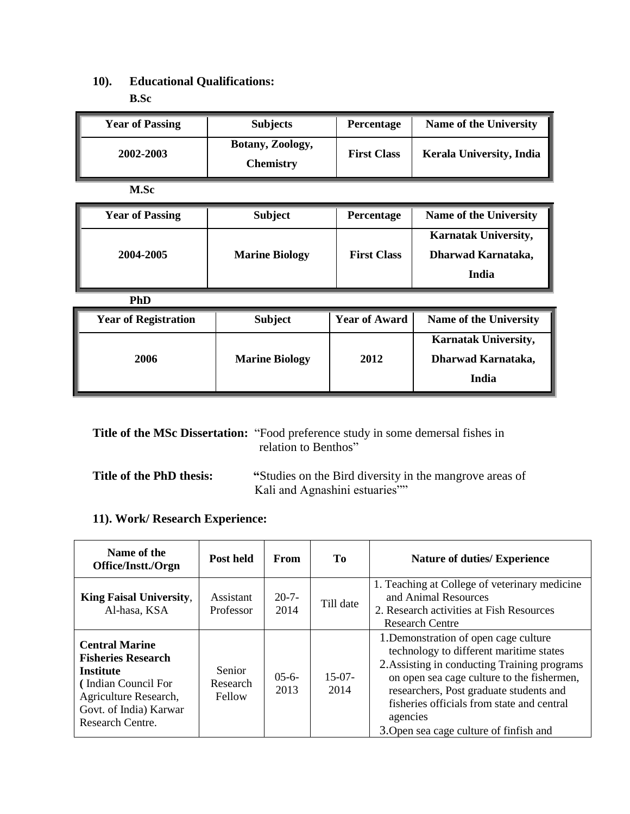# **10). Educational Qualifications: B.Sc**

| <b>Year of Passing</b> | <b>Subjects</b>                      | <b>Percentage</b> | <b>Name of the University</b>   |
|------------------------|--------------------------------------|-------------------|---------------------------------|
| 2002-2003              | Botany, Zoology,<br><b>Chemistry</b> |                   | <b>Kerala University, India</b> |

**M.Sc** 

| <b>Year of Passing</b> | <b>Subject</b>        | <b>Percentage</b>  | Name of the University                                     |
|------------------------|-----------------------|--------------------|------------------------------------------------------------|
| 2004-2005              | <b>Marine Biology</b> | <b>First Class</b> | <b>Karnatak University,</b><br>Dharwad Karnataka,<br>India |

| <b>PhD</b>                  |                       |                      |                                                            |
|-----------------------------|-----------------------|----------------------|------------------------------------------------------------|
| <b>Year of Registration</b> | <b>Subject</b>        | <b>Year of Award</b> | <b>Name of the University</b>                              |
| 2006                        | <b>Marine Biology</b> | 2012                 | <b>Karnatak University,</b><br>Dharwad Karnataka,<br>India |

|                          | <b>Title of the MSc Dissertation:</b> "Food preference study in some demersal fishes in<br>relation to Benthos" |
|--------------------------|-----------------------------------------------------------------------------------------------------------------|
| Title of the PhD thesis: | "Studies on the Bird diversity in the mangrove areas of<br>Kali and Agnashini estuaries"                        |

# **11). Work/ Research Experience:**

| Name of the<br>Office/Instt./Orgn                                                                                                                                    | Post held                    | From               | Tо               | <b>Nature of duties/ Experience</b>                                                                                                                                                                                                                                                                                            |
|----------------------------------------------------------------------------------------------------------------------------------------------------------------------|------------------------------|--------------------|------------------|--------------------------------------------------------------------------------------------------------------------------------------------------------------------------------------------------------------------------------------------------------------------------------------------------------------------------------|
| <b>King Faisal University,</b><br>Al-hasa, KSA                                                                                                                       | Assistant<br>Professor       | $20 - 7 -$<br>2014 | Till date        | 1. Teaching at College of veterinary medicine<br>and Animal Resources<br>2. Research activities at Fish Resources<br><b>Research Centre</b>                                                                                                                                                                                    |
| <b>Central Marine</b><br><b>Fisheries Research</b><br><b>Institute</b><br>(Indian Council For<br>Agriculture Research,<br>Govt. of India) Karwar<br>Research Centre. | Senior<br>Research<br>Fellow | $05-6-$<br>2013    | $15-07-$<br>2014 | 1. Demonstration of open cage culture<br>technology to different maritime states<br>2. Assisting in conducting Training programs<br>on open sea cage culture to the fishermen,<br>researchers, Post graduate students and<br>fisheries officials from state and central<br>agencies<br>3. Open sea cage culture of finfish and |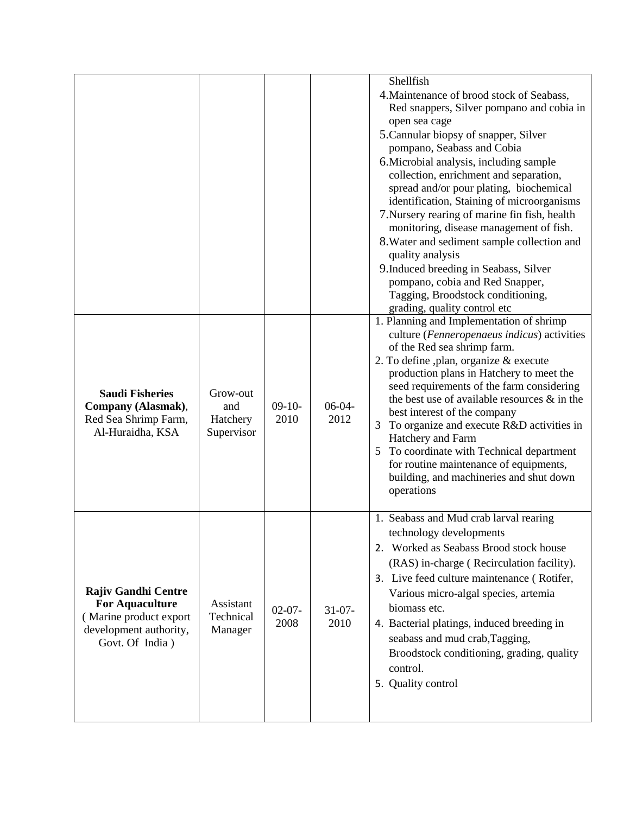|                            |                                           |                  |                     | Shellfish                                                                           |
|----------------------------|-------------------------------------------|------------------|---------------------|-------------------------------------------------------------------------------------|
|                            |                                           |                  |                     | 4. Maintenance of brood stock of Seabass,                                           |
|                            |                                           |                  |                     | Red snappers, Silver pompano and cobia in                                           |
|                            |                                           |                  |                     | open sea cage<br>5. Cannular biopsy of snapper, Silver                              |
|                            |                                           |                  |                     | pompano, Seabass and Cobia                                                          |
|                            |                                           |                  |                     | 6. Microbial analysis, including sample                                             |
|                            |                                           |                  |                     | collection, enrichment and separation,                                              |
|                            |                                           |                  |                     | spread and/or pour plating, biochemical                                             |
|                            |                                           |                  |                     | identification, Staining of microorganisms                                          |
|                            |                                           |                  |                     | 7. Nursery rearing of marine fin fish, health                                       |
|                            |                                           |                  |                     | monitoring, disease management of fish.                                             |
|                            |                                           |                  |                     | 8. Water and sediment sample collection and                                         |
|                            |                                           |                  |                     | quality analysis                                                                    |
|                            |                                           |                  |                     | 9. Induced breeding in Seabass, Silver                                              |
|                            |                                           |                  |                     | pompano, cobia and Red Snapper,                                                     |
|                            |                                           |                  |                     | Tagging, Broodstock conditioning,                                                   |
|                            |                                           |                  |                     | grading, quality control etc<br>1. Planning and Implementation of shrimp            |
|                            |                                           |                  |                     | culture (Fenneropenaeus indicus) activities                                         |
|                            |                                           | $09-10-$<br>2010 | $06-04-$<br>2012    | of the Red sea shrimp farm.                                                         |
|                            |                                           |                  |                     | 2. To define ,plan, organize & execute                                              |
|                            | Grow-out<br>and<br>Hatchery<br>Supervisor |                  |                     | production plans in Hatchery to meet the                                            |
| <b>Saudi Fisheries</b>     |                                           |                  |                     | seed requirements of the farm considering                                           |
| Company (Alasmak),         |                                           |                  |                     | the best use of available resources $\&$ in the                                     |
| Red Sea Shrimp Farm,       |                                           |                  |                     | best interest of the company                                                        |
| Al-Huraidha, KSA           |                                           |                  |                     | To organize and execute R&D activities in                                           |
|                            |                                           |                  |                     | Hatchery and Farm                                                                   |
|                            |                                           |                  |                     | 5 To coordinate with Technical department<br>for routine maintenance of equipments, |
|                            |                                           |                  |                     | building, and machineries and shut down                                             |
|                            |                                           |                  |                     | operations                                                                          |
|                            |                                           |                  |                     |                                                                                     |
|                            |                                           |                  |                     | 1. Seabass and Mud crab larval rearing                                              |
|                            |                                           |                  |                     | technology developments                                                             |
|                            |                                           |                  |                     | 2. Worked as Seabass Brood stock house                                              |
|                            |                                           |                  |                     | (RAS) in-charge (Recirculation facility).                                           |
|                            |                                           |                  |                     | 3. Live feed culture maintenance (Rotifer,                                          |
| <b>Rajiv Gandhi Centre</b> | Assistant<br>Technical<br>Manager         | $02-07-$<br>2008 | $31 - 07 -$<br>2010 | Various micro-algal species, artemia                                                |
| <b>For Aquaculture</b>     |                                           |                  |                     | biomass etc.                                                                        |
| (Marine product export     |                                           |                  |                     | 4. Bacterial platings, induced breeding in                                          |
| development authority,     |                                           |                  |                     |                                                                                     |
| Govt. Of India)            |                                           |                  |                     | seabass and mud crab, Tagging,                                                      |
|                            |                                           |                  |                     | Broodstock conditioning, grading, quality                                           |
|                            |                                           |                  |                     | control.                                                                            |
|                            |                                           |                  |                     | 5. Quality control                                                                  |
|                            |                                           |                  |                     |                                                                                     |
|                            |                                           |                  |                     |                                                                                     |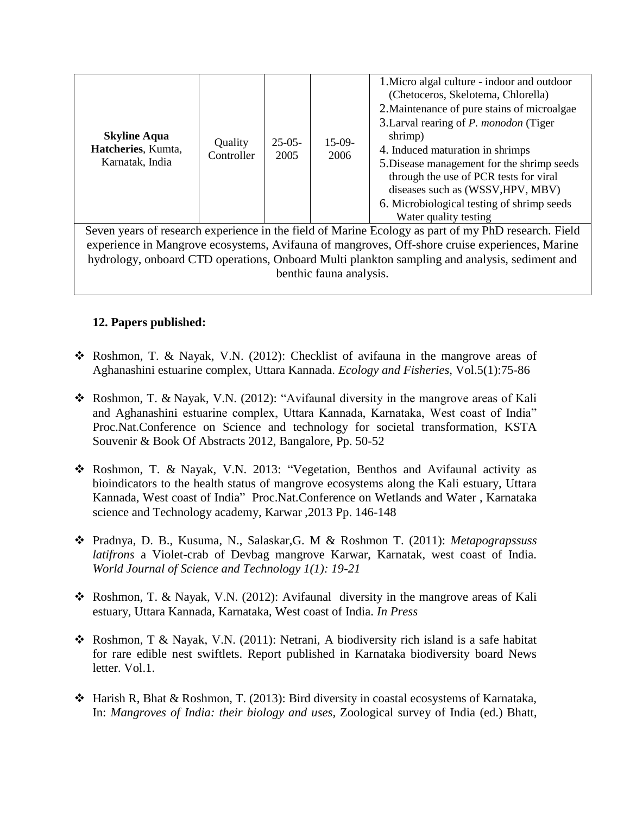|                                                                                                     |                       |                  |                  | 1. Micro algal culture - indoor and outdoor    |  |
|-----------------------------------------------------------------------------------------------------|-----------------------|------------------|------------------|------------------------------------------------|--|
|                                                                                                     | Quality<br>Controller | $25-05-$<br>2005 | $15-09-$<br>2006 | (Chetoceros, Skelotema, Chlorella)             |  |
|                                                                                                     |                       |                  |                  | 2. Maintenance of pure stains of microalgae    |  |
|                                                                                                     |                       |                  |                  | 3. Larval rearing of <i>P. monodon</i> (Tiger) |  |
| <b>Skyline Aqua</b>                                                                                 |                       |                  |                  | shrimp)                                        |  |
| Hatcheries, Kumta,                                                                                  |                       |                  |                  | 4. Induced maturation in shrimps               |  |
| Karnatak, India                                                                                     |                       |                  |                  | 5. Disease management for the shrimp seeds     |  |
|                                                                                                     |                       |                  |                  | through the use of PCR tests for viral         |  |
|                                                                                                     |                       |                  |                  | diseases such as (WSSV, HPV, MBV)              |  |
|                                                                                                     |                       |                  |                  | 6. Microbiological testing of shrimp seeds     |  |
|                                                                                                     |                       |                  |                  | Water quality testing                          |  |
| Seven years of research experience in the field of Marine Ecology as part of my PhD research. Field |                       |                  |                  |                                                |  |
| experience in Mangrove ecosystems, Avifauna of mangroves, Off-shore cruise experiences, Marine      |                       |                  |                  |                                                |  |
| hydrology, onboard CTD operations, Onboard Multi plankton sampling and analysis, sediment and       |                       |                  |                  |                                                |  |

benthic fauna analysis.

#### **12. Papers published:**

- Roshmon, T. & Nayak, V.N. (2012): Checklist of avifauna in the mangrove areas of Aghanashini estuarine complex, Uttara Kannada. *Ecology and Fisheries,* Vol.5(1):75-86
- Roshmon, T. & Nayak, V.N. (2012): "Avifaunal diversity in the mangrove areas of Kali and Aghanashini estuarine complex, Uttara Kannada, Karnataka, West coast of India" Proc.Nat.Conference on Science and technology for societal transformation, KSTA Souvenir & Book Of Abstracts 2012, Bangalore, Pp. 50-52
- Roshmon, T. & Nayak, V.N. 2013: "Vegetation, Benthos and Avifaunal activity as bioindicators to the health status of mangrove ecosystems along the Kali estuary, Uttara Kannada, West coast of India" Proc.Nat.Conference on Wetlands and Water , Karnataka science and Technology academy, Karwar ,2013 Pp. 146-148
- Pradnya, D. B., Kusuma, N., Salaskar,G. M & Roshmon T. (2011): *Metapograpssuss latifrons* a Violet-crab of Devbag mangrove Karwar, Karnatak, west coast of India. *World Journal of Science and Technology 1(1): 19-21*
- Roshmon, T. & Nayak, V.N. (2012): Avifaunal diversity in the mangrove areas of Kali estuary, Uttara Kannada, Karnataka, West coast of India. *In Press*
- Roshmon, T & Nayak, V.N. (2011): Netrani, A biodiversity rich island is a safe habitat for rare edible nest swiftlets. Report published in Karnataka biodiversity board News letter. Vol.1.
- Harish R, Bhat & Roshmon, T. (2013): Bird diversity in coastal ecosystems of Karnataka, In: *Mangroves of India: their biology and uses,* Zoological survey of India (ed.) Bhatt,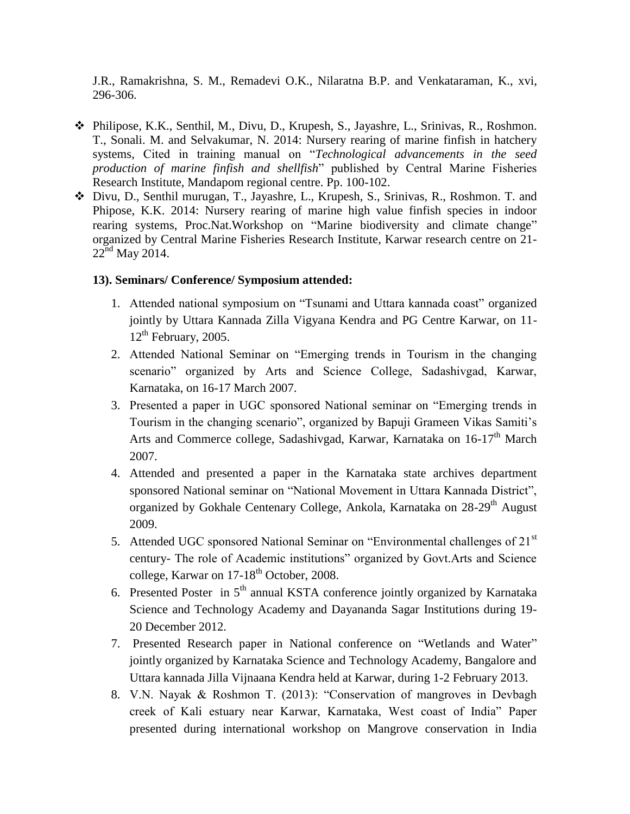J.R., Ramakrishna, S. M., Remadevi O.K., Nilaratna B.P. and Venkataraman, K., xvi, 296-306.

- Philipose, K.K., Senthil, M., Divu, D., Krupesh, S., Jayashre, L., Srinivas, R., Roshmon. T., Sonali. M. and Selvakumar, N. 2014: Nursery rearing of marine finfish in hatchery systems, Cited in training manual on "*Technological advancements in the seed production of marine finfish and shellfish*" published by Central Marine Fisheries Research Institute, Mandapom regional centre. Pp. 100-102.
- Divu, D., Senthil murugan, T., Jayashre, L., Krupesh, S., Srinivas, R., Roshmon. T. and Phipose, K.K. 2014: Nursery rearing of marine high value finfish species in indoor rearing systems, Proc.Nat.Workshop on "Marine biodiversity and climate change" organized by Central Marine Fisheries Research Institute, Karwar research centre on 21-  $22<sup>nd</sup>$  May 2014.

#### **13). Seminars/ Conference/ Symposium attended:**

- 1. Attended national symposium on "Tsunami and Uttara kannada coast" organized jointly by Uttara Kannada Zilla Vigyana Kendra and PG Centre Karwar, on 11-  $12<sup>th</sup>$  February, 2005.
- 2. Attended National Seminar on "Emerging trends in Tourism in the changing scenario" organized by Arts and Science College, Sadashivgad, Karwar, Karnataka, on 16-17 March 2007.
- 3. Presented a paper in UGC sponsored National seminar on "Emerging trends in Tourism in the changing scenario", organized by Bapuji Grameen Vikas Samiti's Arts and Commerce college, Sadashivgad, Karwar, Karnataka on 16-17<sup>th</sup> March 2007.
- 4. Attended and presented a paper in the Karnataka state archives department sponsored National seminar on "National Movement in Uttara Kannada District", organized by Gokhale Centenary College, Ankola, Karnataka on 28-29<sup>th</sup> August 2009.
- 5. Attended UGC sponsored National Seminar on "Environmental challenges of 21<sup>st</sup> century- The role of Academic institutions" organized by Govt.Arts and Science college, Karwar on 17-18<sup>th</sup> October, 2008.
- 6. Presented Poster in  $5<sup>th</sup>$  annual KSTA conference jointly organized by Karnataka Science and Technology Academy and Dayananda Sagar Institutions during 19- 20 December 2012.
- 7. Presented Research paper in National conference on "Wetlands and Water" jointly organized by Karnataka Science and Technology Academy, Bangalore and Uttara kannada Jilla Vijnaana Kendra held at Karwar, during 1-2 February 2013.
- 8. V.N. Nayak & Roshmon T. (2013): "Conservation of mangroves in Devbagh creek of Kali estuary near Karwar, Karnataka, West coast of India" Paper presented during international workshop on Mangrove conservation in India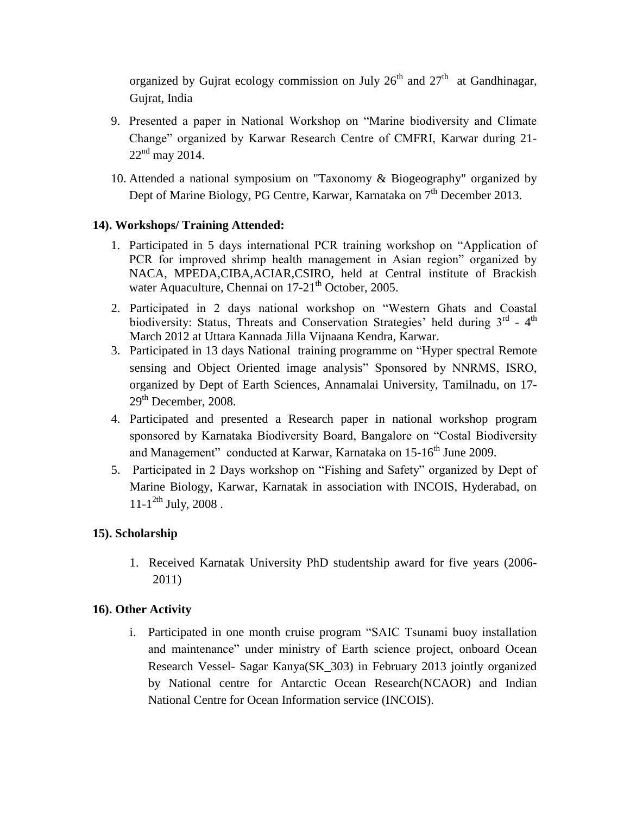organized by Gujrat ecology commission on July  $26<sup>th</sup>$  and  $27<sup>th</sup>$  at Gandhinagar, Gujrat, India

- 9. Presented a paper in National Workshop on "Marine biodiversity and Climate Change" organized by Karwar Research Centre of CMFRI, Karwar during 21-  $22<sup>nd</sup>$  may 2014.
- 10. Attended a national symposium on "Taxonomy & Biogeography" organized by Dept of Marine Biology, PG Centre, Karwar, Karnataka on 7<sup>th</sup> December 2013.

### **14). Workshops/ Training Attended:**

- 1. Participated in 5 days international PCR training workshop on "Application of PCR for improved shrimp health management in Asian region" organized by NACA, MPEDA,CIBA,ACIAR,CSIRO, held at Central institute of Brackish water Aquaculture, Chennai on 17-21<sup>th</sup> October, 2005.
- 2. Participated in 2 days national workshop on "Western Ghats and Coastal biodiversity: Status, Threats and Conservation Strategies' held during 3<sup>rd</sup> - 4<sup>th</sup> March 2012 at Uttara Kannada Jilla Vijnaana Kendra, Karwar.
- 3. Participated in 13 days National training programme on "Hyper spectral Remote sensing and Object Oriented image analysis" Sponsored by NNRMS, ISRO, organized by Dept of Earth Sciences, Annamalai University, Tamilnadu, on 17-  $29<sup>th</sup>$  December, 2008.
- 4. Participated and presented a Research paper in national workshop program sponsored by Karnataka Biodiversity Board, Bangalore on "Costal Biodiversity and Management" conducted at Karwar, Karnataka on 15-16<sup>th</sup> June 2009.
- 5. Participated in 2 Days workshop on "Fishing and Safety" organized by Dept of Marine Biology, Karwar, Karnatak in association with INCOIS, Hyderabad, on  $11 - 1^{2th}$  July, 2008.

### **15). Scholarship**

1. Received Karnatak University PhD studentship award for five years (2006- 2011)

## **16). Other Activity**

i. Participated in one month cruise program "SAIC Tsunami buoy installation and maintenance" under ministry of Earth science project, onboard Ocean Research Vessel- Sagar Kanya(SK\_303) in February 2013 jointly organized by National centre for Antarctic Ocean Research(NCAOR) and Indian National Centre for Ocean Information service (INCOIS).